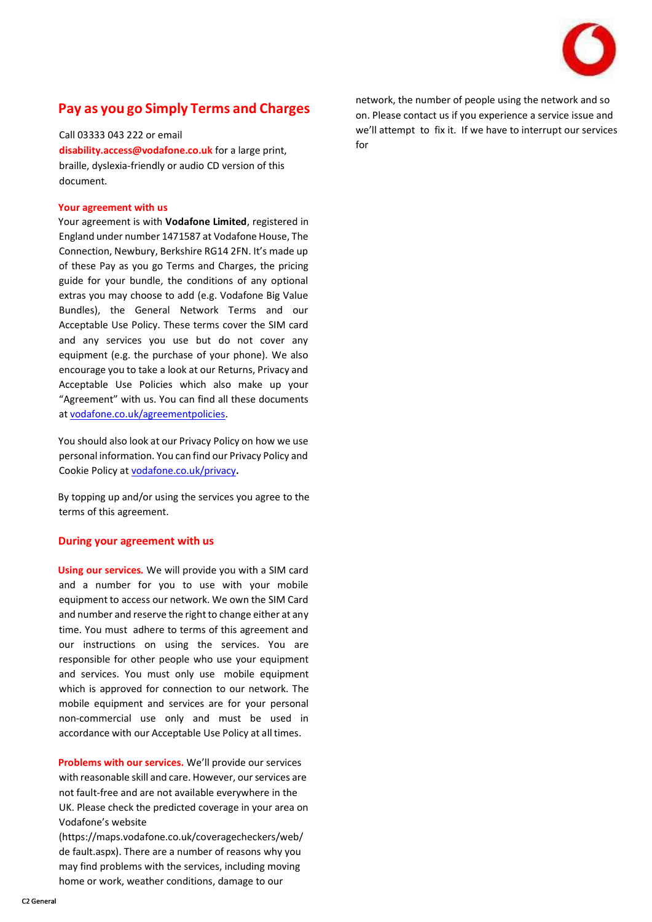

# **Pay as you go Simply Terms and Charges**

#### Call 03333 043 222 or email

**[disability.access@vodafone.co.uk](mailto:disability.access@vodafone.co.uk)** for a large print, braille, dyslexia-friendly or audio CD version of this document.

#### **Your agreement with us**

Your agreement is with **Vodafone Limited**, registered in England under number 1471587 at Vodafone House, The Connection, Newbury, Berkshire RG14 2FN. It's made up of these Pay as you go Terms and Charges, the pricing guide for your bundle, the conditions of any optional extras you may choose to add (e.g. Vodafone Big Value Bundles), the General Network Terms and our Acceptable Use Policy. These terms cover the SIM card and any services you use but do not cover any equipment (e.g. the purchase of your phone). We also encourage you to take a look at our Returns, Privacy and Acceptable Use Policies which also make up your "Agreement" with us. You can find all these documents at [vodafone.co.uk/agreementpolicies.](http://www.vodafone.co.uk/agreementpolicies)

You should also look at our Privacy Policy on how we use personal information. You can find our Privacy Policy and Cookie Policy at [vodafone.co.uk/privacy](http://www.vodafone.co.uk/privacy)**.**

By topping up and/or using the services you agree to the terms of this agreement.

# **During your agreement with us**

**Using our services.** We will provide you with a SIM card and a number for you to use with your mobile equipment to access our network. We own the SIM Card and number and reserve the right to change either at any time. You must adhere to terms of this agreement and our instructions on using the services. You are responsible for other people who use your equipment and services. You must only use mobile equipment which is approved for connection to our network. The mobile equipment and services are for your personal non-commercial use only and must be used in accordance with our Acceptable Use Policy at all times.

**Problems with our services.** We'll provide our services with reasonable skill and care. However, our services are not fault-free and are not available everywhere in the UK. Please check the predicted coverage in your area on Vodafone's website

(https://maps.vodafone.co.uk/coveragecheckers/web/ de fault.aspx). There are a number of reasons why you may find problems with the services, including moving home or work, weather conditions, damage to our

network, the number of people using the network and so on. Please contact us if you experience a service issue and we'll attempt to fix it. If we have to interrupt our services for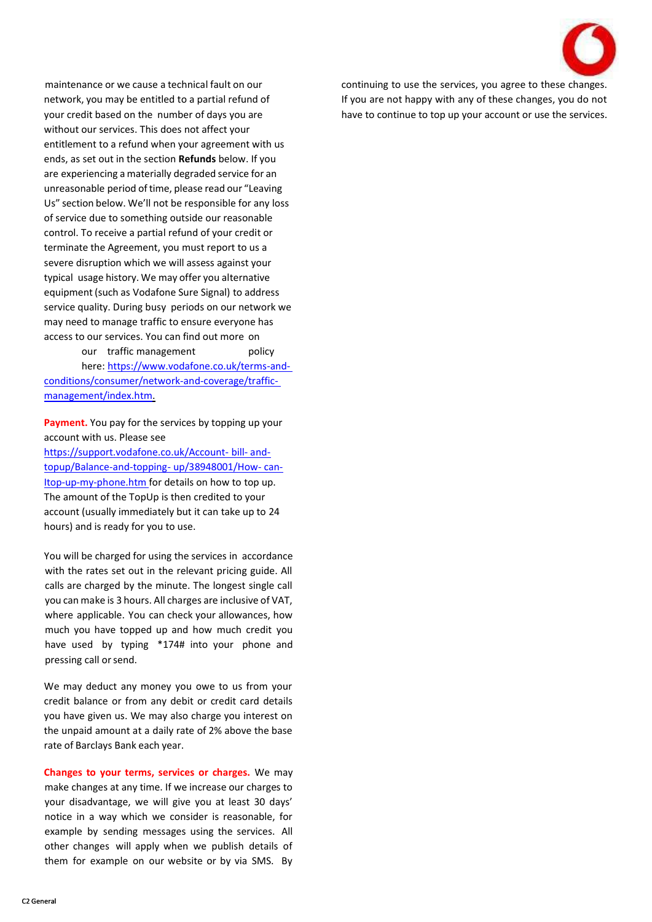

maintenance or we cause a technical fault on our network, you may be entitled to a partial refund of your credit based on the number of days you are without our services. This does not affect your entitlement to a refund when your agreement with us ends, as set out in the section **Refunds** below. If you are experiencing a materially degraded service for an unreasonable period of time, please read our "Leaving Us" section below. We'll not be responsible for any loss of service due to something outside our reasonable control. To receive a partial refund of your credit or terminate the Agreement, you must report to us a severe disruption which we will assess against your typical usage history. We may offer you alternative equipment(such as Vodafone Sure Signal) to address service quality. During busy periods on our network we may need to manage traffic to ensure everyone has access to our services. You can find out more on

our traffic management policy here: [https://www.vodafone.co.uk/terms-and](https://www.vodafone.co.uk/terms-and-conditions/consumer/network-and-coverage/traffic-management/index.htm)[conditions/consumer/network-and-coverage/traffic](https://www.vodafone.co.uk/terms-and-conditions/consumer/network-and-coverage/traffic-management/index.htm)[management/index.htm.](https://www.vodafone.co.uk/terms-and-conditions/consumer/network-and-coverage/traffic-management/index.htm)

**Payment.** You pay for the services by topping up your account with us. Please see [https://support.vodafone.co.uk/Account-](https://support.vodafone.co.uk/Account-bill-%20and-topup/Balance-and-topping-%20up/38948001/How-can-Itop-up-my-phone.htm) bill- [and](https://support.vodafone.co.uk/Account-bill-%20and-topup/Balance-and-topping-%20up/38948001/How-can-Itop-up-my-phone.htm)[topup/Balance-and-topping-](https://support.vodafone.co.uk/Account-bill-%20and-topup/Balance-and-topping-%20up/38948001/How-can-Itop-up-my-phone.htm) up/38948001/How- [can-](https://support.vodafone.co.uk/Account-bill-%20and-topup/Balance-and-topping-%20up/38948001/How-can-Itop-up-my-phone.htm)[Itop-up-my-phone.htm f](https://support.vodafone.co.uk/Account-bill-%20and-topup/Balance-and-topping-%20up/38948001/How-can-Itop-up-my-phone.htm)or details on how to top up. The amount of the TopUp is then credited to your account (usually immediately but it can take up to 24 hours) and is ready for you to use.

You will be charged for using the services in accordance with the rates set out in the relevant pricing guide. All calls are charged by the minute. The longest single call you can make is 3 hours. All charges are inclusive of VAT, where applicable. You can check your allowances, how much you have topped up and how much credit you have used by typing \*174# into your phone and pressing call or send.

We may deduct any money you owe to us from your credit balance or from any debit or credit card details you have given us. We may also charge you interest on the unpaid amount at a daily rate of 2% above the base rate of Barclays Bank each year.

**Changes to your terms, services or charges.** We may make changes at any time. If we increase our charges to your disadvantage, we will give you at least 30 days' notice in a way which we consider is reasonable, for example by sending messages using the services. All other changes will apply when we publish details of them for example on our website or by via SMS. By

continuing to use the services, you agree to these changes. If you are not happy with any of these changes, you do not have to continue to top up your account or use the services.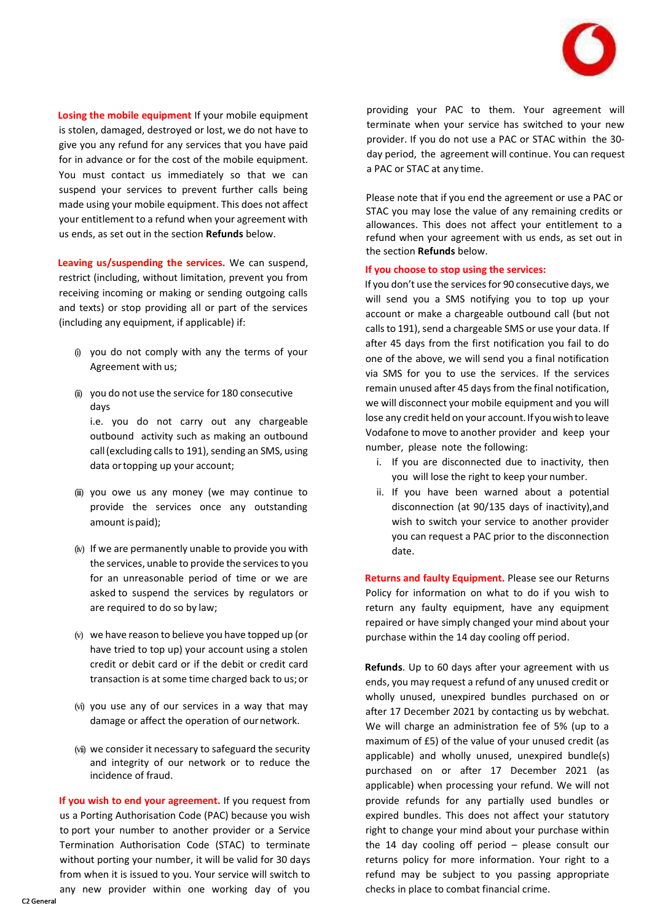

**Losing the mobile equipment** If your mobile equipment is stolen, damaged, destroyed or lost, we do not have to give you any refund for any services that you have paid for in advance or for the cost of the mobile equipment. You must contact us immediately so that we can suspend your services to prevent further calls being made using your mobile equipment. This does not affect your entitlement to a refund when your agreement with us ends, as set out in the section **Refunds** below.

**Leaving us/suspending the services.** We can suspend, restrict (including, without limitation, prevent you from receiving incoming or making or sending outgoing calls and texts) or stop providing all or part of the services (including any equipment, if applicable) if:

- (i) you do not comply with any the terms of your Agreement with us;
- (ii) you do not use the service for 180 consecutive days i.e. you do not carry out any chargeable outbound activity such as making an outbound call(excluding calls to 191), sending an SMS, using data ortopping up your account;
- (iii) you owe us any money (we may continue to provide the services once any outstanding amount is paid):
- (iv) If we are permanently unable to provide you with the services, unable to provide the services to you for an unreasonable period of time or we are asked to suspend the services by regulators or are required to do so by law;
- (v) we have reason to believe you have topped up (or have tried to top up) your account using a stolen credit or debit card or if the debit or credit card transaction is at some time charged back to us;or
- (vi) you use any of our services in a way that may damage or affect the operation of ournetwork.
- (vii) we consider it necessary to safeguard the security and integrity of our network or to reduce the incidence of fraud.

**If you wish to end your agreement.** If you request from us a Porting Authorisation Code (PAC) because you wish to port your number to another provider or a Service Termination Authorisation Code (STAC) to terminate without porting your number, it will be valid for 30 days from when it is issued to you. Your service will switch to any new provider within one working day of you

providing your PAC to them. Your agreement will terminate when your service has switched to your new provider. If you do not use a PAC or STAC within the 30 day period, the agreement will continue. You can request a PAC or STAC at any time.

Please note that if you end the agreement or use a PAC or STAC you may lose the value of any remaining credits or allowances. This does not affect your entitlement to a refund when your agreement with us ends, as set out in the section **Refunds** below.

#### **If you choose to stop using the services:**

If you don't use the services for 90 consecutive days, we will send you a SMS notifying you to top up your account or make a chargeable outbound call (but not calls to 191), send a chargeable SMS or use your data. If after 45 days from the first notification you fail to do one of the above, we will send you a final notification via SMS for you to use the services. If the services remain unused after 45 days from the final notification, we will disconnect your mobile equipment and you will lose any credit held on your account. If youwishto leave Vodafone to move to another provider and keep your number, please note the following:

- i. If you are disconnected due to inactivity, then you will lose the right to keep your number.
- ii. If you have been warned about a potential disconnection (at 90/135 days of inactivity),and wish to switch your service to another provider you can request a PAC prior to the disconnection date.

**Returns and faulty Equipment.** Please see our Returns Policy for information on what to do if you wish to return any faulty equipment, have any equipment repaired or have simply changed your mind about your purchase within the 14 day cooling off period.

**Refunds**. Up to 60 days after your agreement with us ends, you may request a refund of any unused credit or wholly unused, unexpired bundles purchased on or after 17 December 2021 by contacting us by webchat. We will charge an administration fee of 5% (up to a maximum of £5) of the value of your unused credit (as applicable) and wholly unused, unexpired bundle(s) purchased on or after 17 December 2021 (as applicable) when processing your refund. We will not provide refunds for any partially used bundles or expired bundles. This does not affect your statutory right to change your mind about your purchase within the 14 day cooling off period – please consult our returns policy for more information. Your right to a refund may be subject to you passing appropriate checks in place to combat financial crime.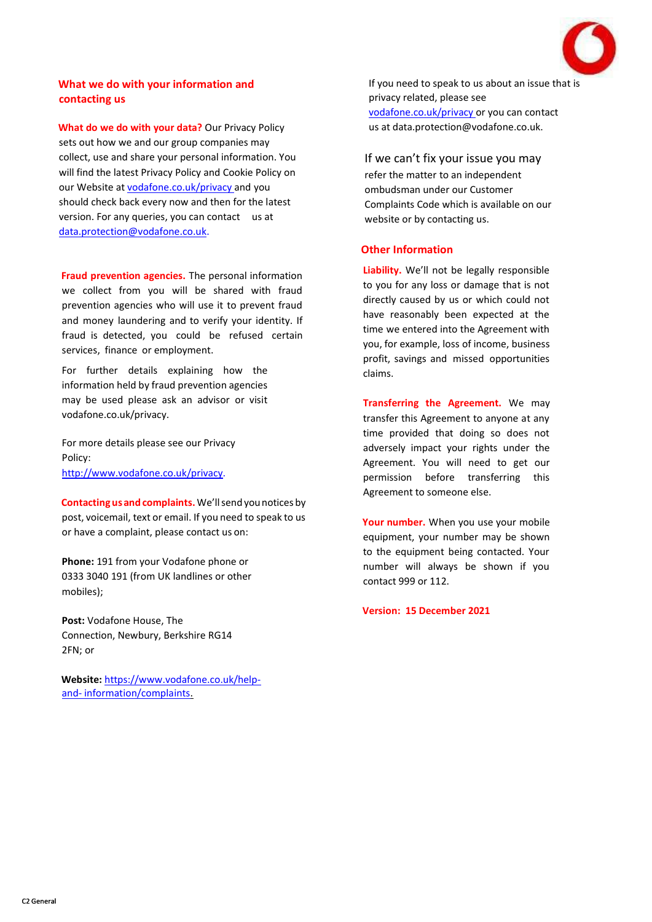

# **What we do with your information and contacting us**

**What do we do with your data?** Our Privacy Policy sets out how we and our group companies may collect, use and share your personal information. You will find the latest Privacy Policy and Cookie Policy on our Website a[t vodafone.co.uk/privacy a](http://www.vodafone.co.uk/privacy)nd you should check back every now and then for the latest version. For any queries, you can contact us at [data.protection@vodafone.co.uk.](mailto:data.protection@vodafone.co.uk)

**Fraud prevention agencies.** The personal information we collect from you will be shared with fraud prevention agencies who will use it to prevent fraud and money laundering and to verify your identity. If fraud is detected, you could be refused certain services, finance or employment.

For further details explaining how the information held by fraud prevention agencies may be used please ask an advisor or visit vodafone.co.uk/privacy.

For more details please see our Privacy Policy: [http://www.vodafone.co.uk/privacy.](https://www.vodafone.co.uk/privacy)

**Contactingus and complaints.**We'llsendyounotices by post, voicemail, text or email. If you need to speak to us or have a complaint, please contact us on:

**Phone:** 191 from your Vodafone phone or 0333 3040 191 (from UK landlines or other mobiles);

**Post:** Vodafone House, The Connection, Newbury, Berkshire RG14 2FN; or

**Website:** [https://www.vodafone.co.uk/help](https://www.vodafone.co.uk/help-and-information/complaints)[and-](https://www.vodafone.co.uk/help-and-information/complaints) [information/complaints.](https://www.vodafone.co.uk/help-and-information/complaints)

If you need to speak to us about an issue that is privacy related, please see [vodafone.co.uk/privacy o](http://www.vodafone.co.uk/privacy)r you can contact us a[t data.protection@vodafone.co.uk.](mailto:data.protection@vodafone.co.uk)

If we can't fix your issue you may refer the matter to an independent ombudsman under our Customer Complaints Code which is available on our website or by contacting us.

# **Other Information**

**Liability.** We'll not be legally responsible to you for any loss or damage that is not directly caused by us or which could not have reasonably been expected at the time we entered into the Agreement with you, for example, loss of income, business profit, savings and missed opportunities claims.

**Transferring the Agreement.** We may transfer this Agreement to anyone at any time provided that doing so does not adversely impact your rights under the Agreement. You will need to get our permission before transferring this Agreement to someone else.

**Your number.** When you use your mobile equipment, your number may be shown to the equipment being contacted. Your number will always be shown if you contact 999 or 112.

**Version: 15 December 2021**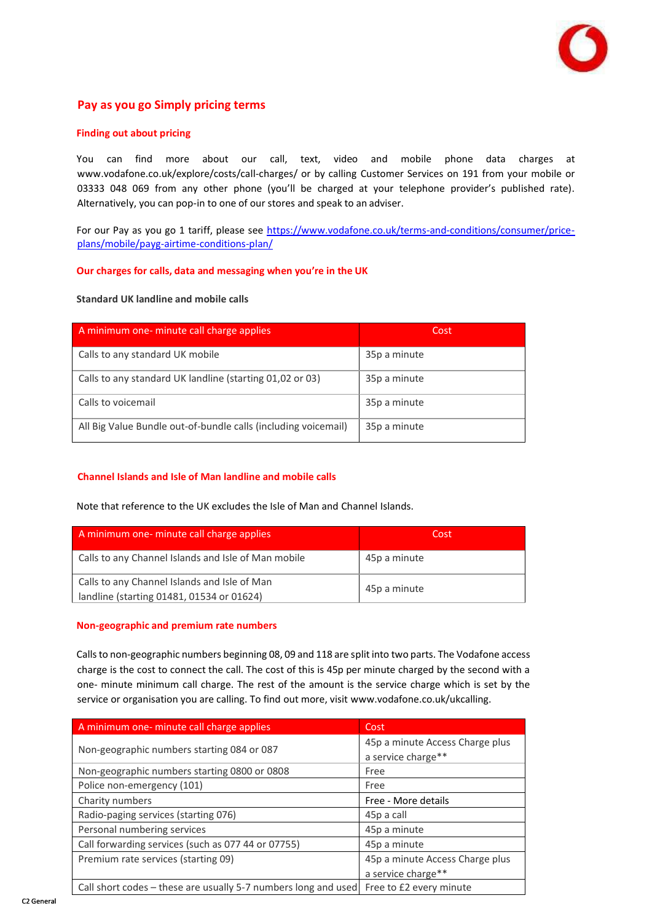

# **Pay as you go Simply pricing terms**

# **Finding out about pricing**

You can find more about our call, text, video and mobile phone data charges at [www.vodafone.co.uk/explore/costs/call-charges/](http://www.vodafone.co.uk/explore/costs/call-charges/) or by calling Customer Services on 191 from your mobile or 03333 048 069 from any other phone (you'll be charged at your telephone provider's published rate). Alternatively, you can pop-in to one of our stores and speak to an adviser.

For our Pay as you go 1 tariff, please see [https://www.vodafone.co.uk/terms-and-conditions/consumer/price](https://www.vodafone.co.uk/terms-and-conditions/consumer/price-plans/mobile/payg-airtime-conditions-plan/)[plans/mobile/payg-airtime-conditions-plan/](https://www.vodafone.co.uk/terms-and-conditions/consumer/price-plans/mobile/payg-airtime-conditions-plan/)

#### **Our charges for calls, data and messaging when you're in the UK**

#### **Standard UK landline and mobile calls**

| A minimum one- minute call charge applies                      | Cost         |
|----------------------------------------------------------------|--------------|
| Calls to any standard UK mobile                                | 35p a minute |
| Calls to any standard UK landline (starting 01,02 or 03)       | 35p a minute |
| Calls to voicemail                                             | 35p a minute |
| All Big Value Bundle out-of-bundle calls (including voicemail) | 35p a minute |

# **Channel Islands and Isle of Man landline and mobile calls**

Note that reference to the UK excludes the Isle of Man and Channel Islands.

| A minimum one- minute call charge applies                                                 | Cost         |  |
|-------------------------------------------------------------------------------------------|--------------|--|
| Calls to any Channel Islands and Isle of Man mobile                                       | 45p a minute |  |
| Calls to any Channel Islands and Isle of Man<br>landline (starting 01481, 01534 or 01624) | 45p a minute |  |

# **Non-geographic and premium rate numbers**

Calls to non-geographic numbers beginning 08, 09 and 118 are split into two parts. The Vodafone access charge is the cost to connect the call. The cost of this is 45p per minute charged by the second with a one- minute minimum call charge. The rest of the amount is the service charge which is set by the service or organisation you are calling. To find out more, visit [www.vodafone.co.uk/ukcalling.](https://www.vodafone.co.uk/explore/costs/call-charges/)

| A minimum one- minute call charge applies                      | Cost                                                  |  |
|----------------------------------------------------------------|-------------------------------------------------------|--|
| Non-geographic numbers starting 084 or 087                     | 45p a minute Access Charge plus<br>a service charge** |  |
| Non-geographic numbers starting 0800 or 0808                   | Free                                                  |  |
| Police non-emergency (101)                                     | Free                                                  |  |
| Charity numbers                                                | Free - More details                                   |  |
| Radio-paging services (starting 076)                           | 45p a call                                            |  |
| Personal numbering services                                    | 45p a minute                                          |  |
| Call forwarding services (such as 077 44 or 07755)             | 45p a minute                                          |  |
| Premium rate services (starting 09)                            | 45p a minute Access Charge plus                       |  |
|                                                                | a service charge**                                    |  |
| Call short codes – these are usually 5-7 numbers long and used | Free to £2 every minute                               |  |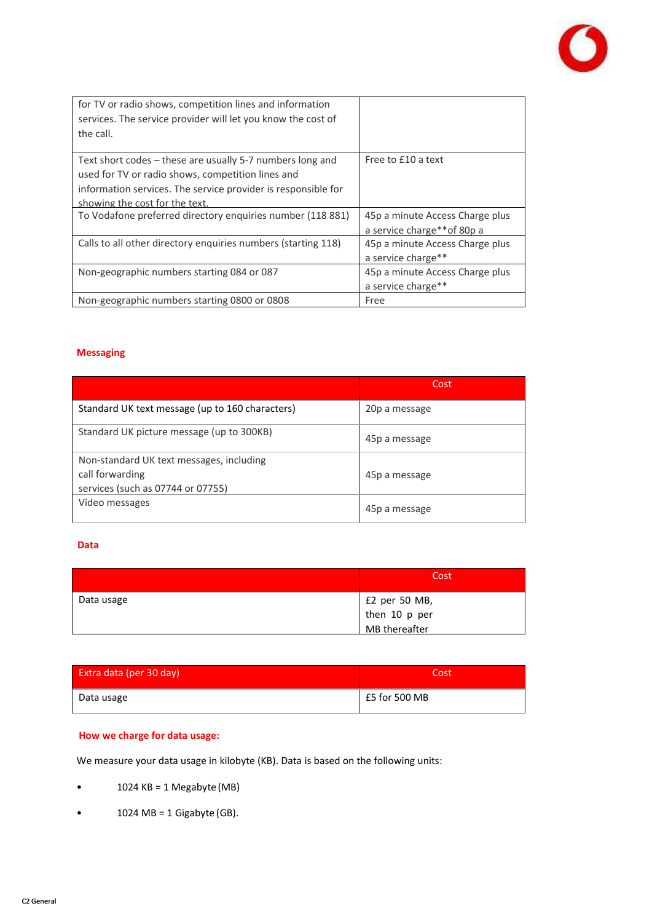

| for TV or radio shows, competition lines and information<br>services. The service provider will let you know the cost of<br>the call.                                                                             |                                                               |
|-------------------------------------------------------------------------------------------------------------------------------------------------------------------------------------------------------------------|---------------------------------------------------------------|
| Text short codes – these are usually 5-7 numbers long and<br>used for TV or radio shows, competition lines and<br>information services. The service provider is responsible for<br>showing the cost for the text. | Free to £10 a text                                            |
| To Vodafone preferred directory enquiries number (118 881)                                                                                                                                                        | 45p a minute Access Charge plus<br>a service charge**of 80p a |
| Calls to all other directory enquiries numbers (starting 118)                                                                                                                                                     | 45p a minute Access Charge plus<br>a service charge**         |
| Non-geographic numbers starting 084 or 087                                                                                                                                                                        | 45p a minute Access Charge plus<br>a service charge**         |
| Non-geographic numbers starting 0800 or 0808                                                                                                                                                                      | Free                                                          |

# **Messaging**

|                                                                                                  | Cost          |
|--------------------------------------------------------------------------------------------------|---------------|
| Standard UK text message (up to 160 characters)                                                  | 20p a message |
| Standard UK picture message (up to 300KB)                                                        | 45p a message |
| Non-standard UK text messages, including<br>call forwarding<br>services (such as 07744 or 07755) | 45p a message |
| Video messages                                                                                   | 45p a message |

# **Data**

|            | Cost                                              |  |
|------------|---------------------------------------------------|--|
| Data usage | $£2$ per 50 MB,<br>then 10 p per<br>MB thereafter |  |
|            |                                                   |  |
|            |                                                   |  |

| Extra data (per 30 day) | Cost          |  |
|-------------------------|---------------|--|
| Data usage              | £5 for 500 MB |  |

# **How we charge for data usage:**

We measure your data usage in kilobyte (KB). Data is based on the following units:

- $\bullet$  1024 KB = 1 Megabyte (MB)
- $\bullet$  1024 MB = 1 Gigabyte (GB).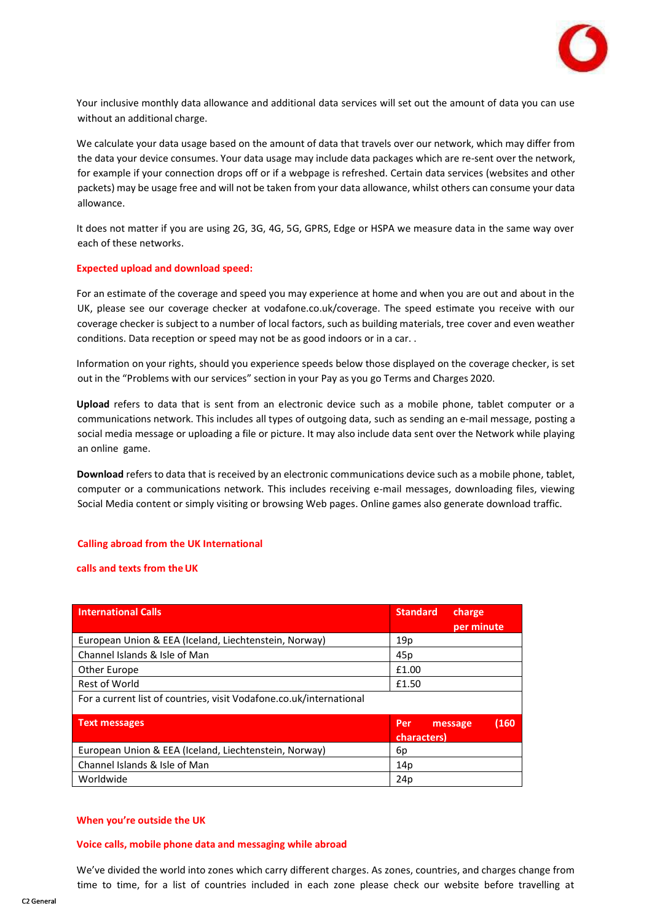

Your inclusive monthly data allowance and additional data services will set out the amount of data you can use without an additional charge.

We calculate your data usage based on the amount of data that travels over our network, which may differ from the data your device consumes. Your data usage may include data packages which are re-sent over the network, for example if your connection drops off or if a webpage is refreshed. Certain data services (websites and other packets) may be usage free and will not be taken from your data allowance, whilst others can consume your data allowance.

It does not matter if you are using 2G, 3G, 4G, 5G, GPRS, Edge or HSPA we measure data in the same way over each of these networks.

# **Expected upload and download speed:**

For an estimate of the coverage and speed you may experience at home and when you are out and about in the UK, please see our coverage checker at vodafone.co.uk/coverage. The speed estimate you receive with our coverage checker is subject to a number of local factors, such as building materials, tree cover and even weather conditions. Data reception or speed may not be as good indoors or in a car. .

Information on your rights, should you experience speeds below those displayed on the coverage checker, is set out in the "Problems with our services" section in your Pay as you go Terms and Charges 2020.

**Upload** refers to data that is sent from an electronic device such as a mobile phone, tablet computer or a communications network. This includes all types of outgoing data, such as sending an e-mail message, posting a social media message or uploading a file or picture. It may also include data sent over the Network while playing an online game.

**Download** refers to data that is received by an electronic communications device such as a mobile phone, tablet, computer or a communications network. This includes receiving e-mail messages, downloading files, viewing Social Media content or simply visiting or browsing Web pages. Online games also generate download traffic.

# **Calling abroad from the UK International**

#### **calls and texts from theUK**

| <b>International Calls</b>                                          | <b>Standard</b><br>charge<br>per minute |         |      |  |
|---------------------------------------------------------------------|-----------------------------------------|---------|------|--|
| European Union & EEA (Iceland, Liechtenstein, Norway)               | 19p                                     |         |      |  |
| Channel Islands & Isle of Man                                       | 45p                                     |         |      |  |
| Other Europe                                                        | £1.00                                   |         |      |  |
| Rest of World                                                       | £1.50                                   |         |      |  |
| For a current list of countries, visit Vodafone.co.uk/international |                                         |         |      |  |
| <b>Text messages</b>                                                | Per<br>characters)                      | message | (160 |  |
| European Union & EEA (Iceland, Liechtenstein, Norway)               | 6p                                      |         |      |  |
| Channel Islands & Isle of Man                                       | 14 <sub>p</sub>                         |         |      |  |
| Worldwide                                                           | 24p                                     |         |      |  |

#### **When you're outside the UK**

#### **Voice calls, mobile phone data and messaging while abroad**

We've divided the world into zones which carry different charges. As zones, countries, and charges change from time to time, for a list of countries included in each zone please check our website before travelling at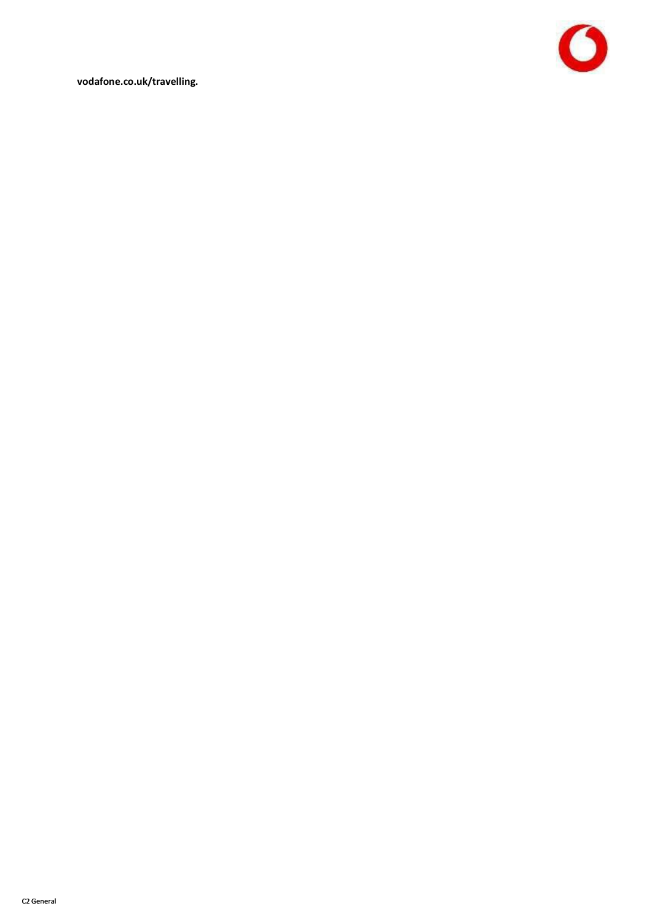

**vodafone.co.uk/travelling.**